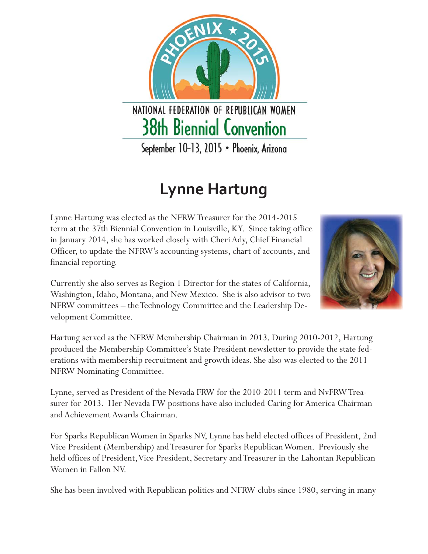NATIONAL FEDERATION OF REPUBLICAN WOMEN **38th Biennial Convention** 

## **Lynne Hartung**

Lynne Hartung was elected as the NFRW Treasurer for the 2014-2015 term at the 37th Biennial Convention in Louisville, KY. Since taking office in January 2014, she has worked closely with Cheri Ady, Chief Financial Officer, to update the NFRW's accounting systems, chart of accounts, and financial reporting.

Currently she also serves as Region 1 Director for the states of California, Washington, Idaho, Montana, and New Mexico. She is also advisor to two NFRW committees – the Technology Committee and the Leadership Development Committee.

Hartung served as the NFRW Membership Chairman in 2013. During 2010-2012, Hartung produced the Membership Committee's State President newsletter to provide the state federations with membership recruitment and growth ideas. She also was elected to the 2011 NFRW Nominating Committee.

Lynne, served as President of the Nevada FRW for the 2010-2011 term and NvFRW Treasurer for 2013. Her Nevada FW positions have also included Caring for America Chairman and Achievement Awards Chairman.

For Sparks Republican Women in Sparks NV, Lynne has held elected offices of President, 2nd Vice President (Membership) and Treasurer for Sparks Republican Women. Previously she held offices of President, Vice President, Secretary and Treasurer in the Lahontan Republican Women in Fallon NV.

She has been involved with Republican politics and NFRW clubs since 1980, serving in many